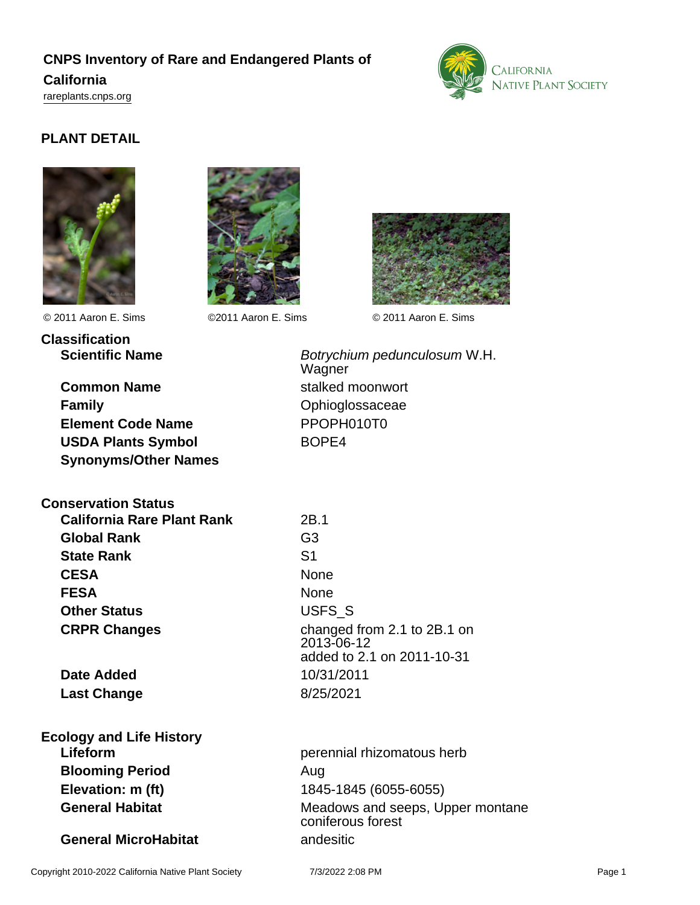# **CNPS Inventory of Rare and Endangered Plants of California**

<rareplants.cnps.org>



# **PLANT DETAIL**





© 2011 Aaron E. Sims ©2011 Aaron E. Sims © 2011 Aaron E. Sims

**Classification**



**Common Name** stalked moonwort **Family Community Community Community Community Community Community Community Community Community Element Code Name** PPOPH010T0 USDA Plants Symbol BOPE4 **Synonyms/Other Names**

**Scientific Name** Botrychium pedunculosum W.H. Wagner

| <b>Conservation Status</b>        |                |
|-----------------------------------|----------------|
| <b>California Rare Plant Rank</b> | 2B.1           |
| <b>Global Rank</b>                | G <sub>3</sub> |
| <b>State Rank</b>                 | S <sub>1</sub> |
| <b>CESA</b>                       | None           |
| <b>FESA</b>                       | None           |
| <b>Other Status</b>               | <b>USFS</b>    |
| <b>CRPR Changes</b>               | chano<br>      |

**Date Added** 10/31/2011 **Last Change** 8/25/2021

**Ecology and Life History Blooming Period** Aug

**General MicroHabitat andesitic** 

USFS<sub>S</sub> changed from 2.1 to 2B.1 on 2013-06-12 added to 2.1 on 2011-10-31

**Lifeform perennial rhizomatous herb perennial rhizomatous herb Elevation: m (ft)** 1845-1845 (6055-6055) **General Habitat** Meadows and seeps, Upper montane coniferous forest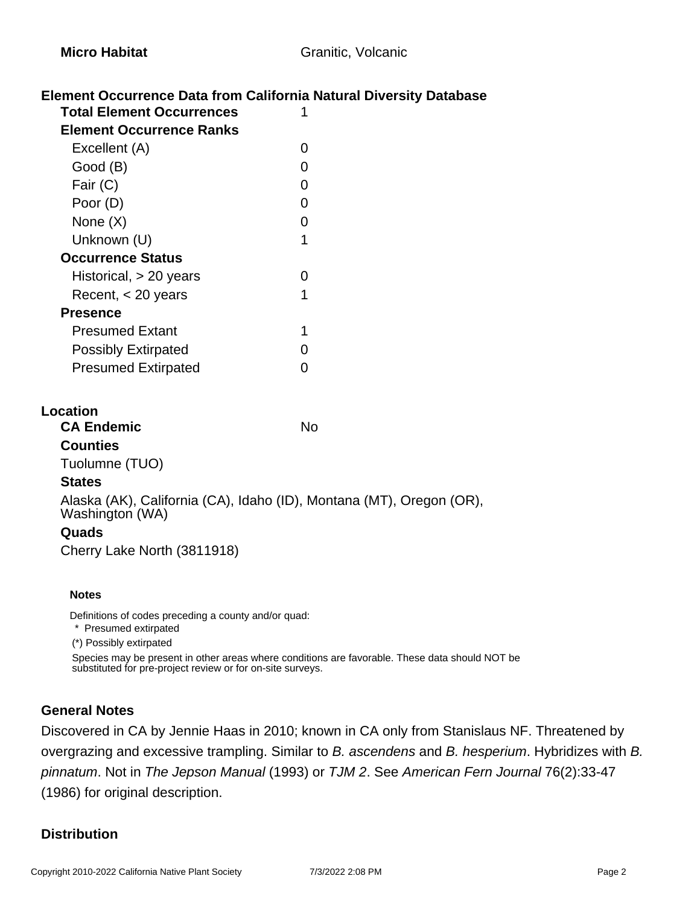## **Element Occurrence Data from California Natural Diversity Database**

| <b>Total Element Occurrences</b> |   |
|----------------------------------|---|
| <b>Element Occurrence Ranks</b>  |   |
| Excellent (A)                    | O |
| Good (B)                         |   |
| Fair (C)                         | 0 |
| Poor (D)                         | ი |
| None $(X)$                       | ი |
| Unknown (U)                      | 1 |
| <b>Occurrence Status</b>         |   |
| Historical, $> 20$ years         |   |
| Recent, $<$ 20 years             | 1 |
| <b>Presence</b>                  |   |
| <b>Presumed Extant</b>           | 1 |
| <b>Possibly Extirpated</b>       |   |
| <b>Presumed Extirpated</b>       |   |
|                                  |   |

### **Location**

| <b>CA Endemic</b> | No |
|-------------------|----|
| <b>Counties</b>   |    |
| Tuolumne (TUO)    |    |

### **States**

Alaska (AK), California (CA), Idaho (ID), Montana (MT), Oregon (OR), Washington (WA)

### **Quads**

Cherry Lake North (3811918)

#### **Notes**

Definitions of codes preceding a county and/or quad:

\* Presumed extirpated

(\*) Possibly extirpated

Species may be present in other areas where conditions are favorable. These data should NOT be substituted for pre-project review or for on-site surveys.

## **General Notes**

Discovered in CA by Jennie Haas in 2010; known in CA only from Stanislaus NF. Threatened by overgrazing and excessive trampling. Similar to B. ascendens and B. hesperium. Hybridizes with B. pinnatum. Not in The Jepson Manual (1993) or TJM 2. See American Fern Journal 76(2):33-47 (1986) for original description.

## **Distribution**